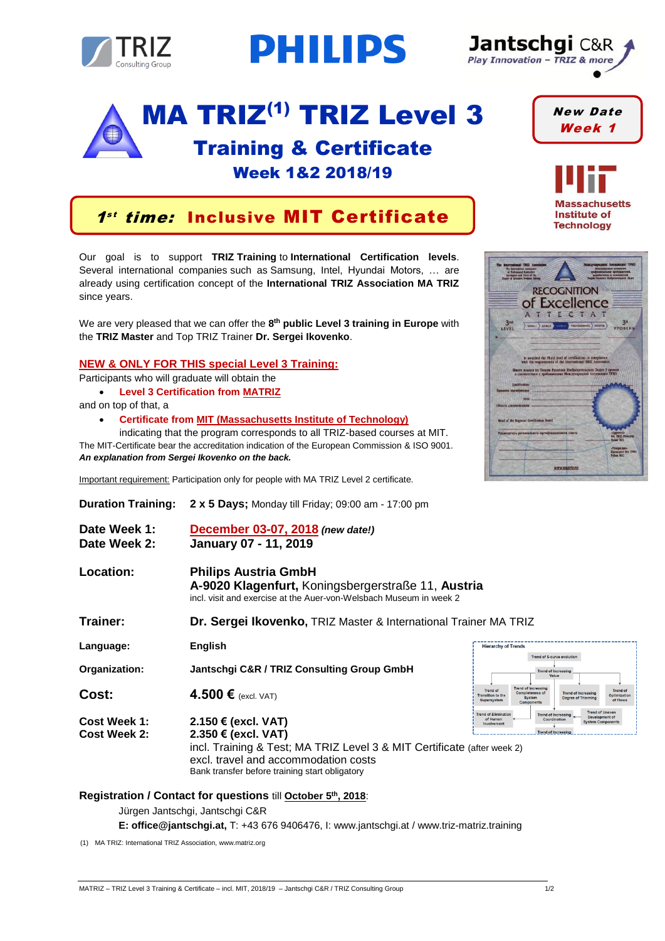

# **PHILIPS**

## MA TRIZ<sup>(1)</sup> TRIZ Level 3

### Training & Certificate Week 1&2 2018/19



Our goal is to support **TRIZ Training** to **International Certification levels**. Several international companies such as Samsung, Intel, Hyundai Motors, … are already using certification concept of the **International TRIZ Association MA TRIZ** since years.

We are very pleased that we can offer the 8<sup>th</sup> public Level 3 training in Europe with the **TRIZ Master** and Top TRIZ Trainer **Dr. Sergei Ikovenko**.

#### **NEW & ONLY FOR THIS special Level 3 Training:**

Participants who will graduate will obtain the

• **Level 3 Certification from MATRIZ**

and on top of that, a

• **Certificate from MIT (Massachusetts Institute of Technology)**

indicating that the program corresponds to all TRIZ-based courses at MIT. The MIT-Certificate bear the accreditation indication of the European Commission & ISO 9001. *An explanation from Sergei Ikovenko on the back.* 

Important requirement: Participation only for people with MA TRIZ Level 2 certificate.

| <b>Duration Training:</b>    | <b>2 x 5 Days;</b> Monday till Friday; 09:00 am - 17:00 pm                                                                                                                                                      |                                                                 |                        |                                                             |                                                                         |                                                         |                                          |                                           |
|------------------------------|-----------------------------------------------------------------------------------------------------------------------------------------------------------------------------------------------------------------|-----------------------------------------------------------------|------------------------|-------------------------------------------------------------|-------------------------------------------------------------------------|---------------------------------------------------------|------------------------------------------|-------------------------------------------|
| Date Week 1:<br>Date Week 2: | December 03-07, 2018 (new date!)<br>January 07 - 11, 2019                                                                                                                                                       |                                                                 |                        |                                                             |                                                                         |                                                         |                                          |                                           |
| Location:                    | <b>Philips Austria GmbH</b><br>A-9020 Klagenfurt, Koningsbergerstraße 11, Austria<br>incl, visit and exercise at the Auer-von-Welsbach Museum in week 2                                                         |                                                                 |                        |                                                             |                                                                         |                                                         |                                          |                                           |
| Trainer:                     | Dr. Sergei Ikovenko, TRIZ Master & International Trainer MA TRIZ                                                                                                                                                |                                                                 |                        |                                                             |                                                                         |                                                         |                                          |                                           |
| Language:                    | English                                                                                                                                                                                                         | <b>Hierarchy of Trends</b><br><b>Trend of S-curve evolution</b> |                        |                                                             |                                                                         |                                                         |                                          |                                           |
| Organization:                | Jantschgi C&R / TRIZ Consulting Group GmbH                                                                                                                                                                      | <b>Trend of Increasir</b>                                       |                        |                                                             |                                                                         |                                                         |                                          |                                           |
| Cost:                        | 4.500 $\epsilon$ (excl. VAT)                                                                                                                                                                                    | <b>Trend of</b><br><b>Transition to the</b><br>Supersystem      |                        | <b>Trend of Increasing</b><br>Completeness of<br>Components |                                                                         | <b>Trend of Increasing</b><br><b>Dearee of Trimmina</b> |                                          | <b>Trend of</b><br>Ontimizati<br>of Flows |
| Cost Week 1:<br>Cost Week 2: | 2.150 € (excl. VAT)<br>2.350 € (excl. VAT)<br>incl. Training & Test; MA TRIZ Level 3 & MIT Certificate (after week 2)<br>excl. travel and accommodation costs<br>Bank transfer before training start obligatory | <b>Trend of Eliminatio</b>                                      | of Humar<br>Involvemen |                                                             | <b>Trend of Increasing</b><br>Coordination<br><b>Trend of Increasin</b> |                                                         | <b>Trend of Unever</b><br>stem Component |                                           |

#### **Registration / Contact for questions** till **October 5 th , 2018**:

Jürgen Jantschgi, Jantschgi C&R

**E: office@jantschgi.at,** T: +43 676 9406476, I: www.jantschgi.at / www.triz-matriz.training

(1) MA TRIZ: International TRIZ Association, www.matriz.org



New Date Week 1

**Massachusetts Institute of Technology** 

**RECOGNITION** of Excellence ATTECTAT  $3<sup>nd</sup>$  $\left\langle \frac{1}{2} \right\rangle$  MASTER is awarded the Third level of certification in compliance<br>with the requirements of the International TRIZ Association ся по Теории Решения Изобретательских Задач 5 уров www.matriz.ru